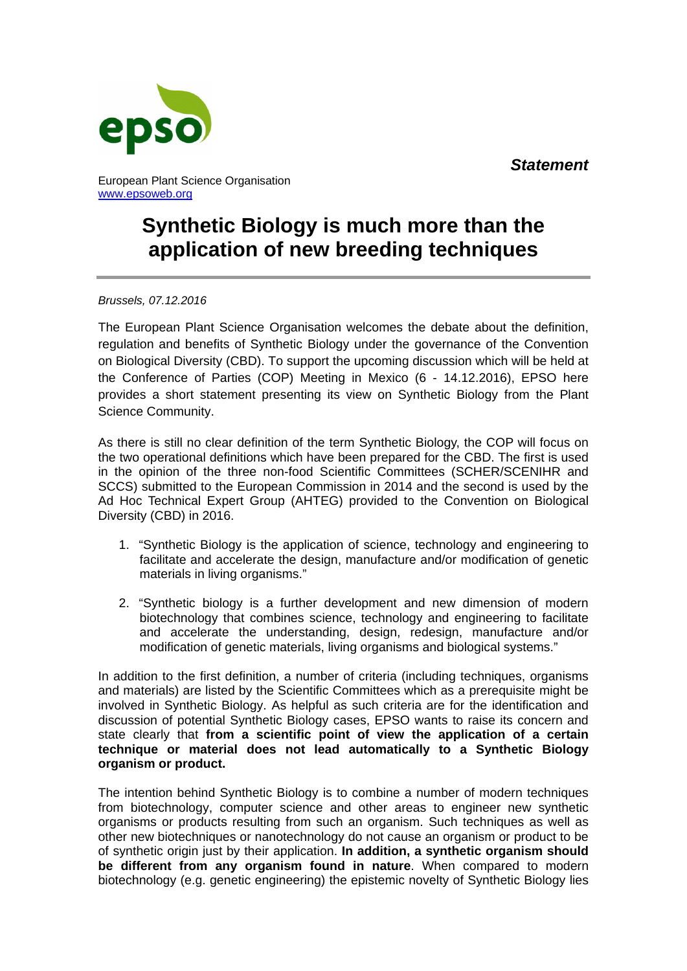*Statement*



European Plant Science Organisation www.epsoweb.org

## **Synthetic Biology is much more than the application of new breeding techniques**

*Brussels, 07.12.2016* 

The European Plant Science Organisation welcomes the debate about the definition, regulation and benefits of Synthetic Biology under the governance of the Convention on Biological Diversity (CBD). To support the upcoming discussion which will be held at the Conference of Parties (COP) Meeting in Mexico (6 - 14.12.2016), EPSO here provides a short statement presenting its view on Synthetic Biology from the Plant Science Community.

As there is still no clear definition of the term Synthetic Biology, the COP will focus on the two operational definitions which have been prepared for the CBD. The first is used in the opinion of the three non-food Scientific Committees (SCHER/SCENIHR and SCCS) submitted to the European Commission in 2014 and the second is used by the Ad Hoc Technical Expert Group (AHTEG) provided to the Convention on Biological Diversity (CBD) in 2016.

- 1. "Synthetic Biology is the application of science, technology and engineering to facilitate and accelerate the design, manufacture and/or modification of genetic materials in living organisms."
- 2. "Synthetic biology is a further development and new dimension of modern biotechnology that combines science, technology and engineering to facilitate and accelerate the understanding, design, redesign, manufacture and/or modification of genetic materials, living organisms and biological systems."

In addition to the first definition, a number of criteria (including techniques, organisms and materials) are listed by the Scientific Committees which as a prerequisite might be involved in Synthetic Biology. As helpful as such criteria are for the identification and discussion of potential Synthetic Biology cases, EPSO wants to raise its concern and state clearly that **from a scientific point of view the application of a certain technique or material does not lead automatically to a Synthetic Biology organism or product.**

The intention behind Synthetic Biology is to combine a number of modern techniques from biotechnology, computer science and other areas to engineer new synthetic organisms or products resulting from such an organism. Such techniques as well as other new biotechniques or nanotechnology do not cause an organism or product to be of synthetic origin just by their application. **In addition, a synthetic organism should be different from any organism found in nature**. When compared to modern biotechnology (e.g. genetic engineering) the epistemic novelty of Synthetic Biology lies